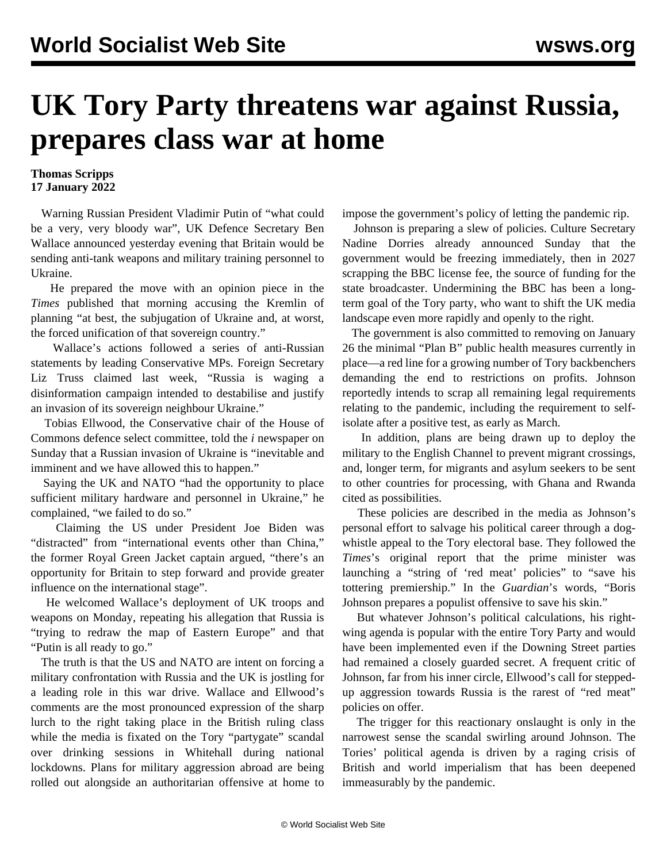## **UK Tory Party threatens war against Russia, prepares class war at home**

## **Thomas Scripps 17 January 2022**

 Warning Russian President Vladimir Putin of "what could be a very, very bloody war", UK Defence Secretary Ben Wallace announced yesterday evening that Britain would be sending anti-tank weapons and military training personnel to Ukraine.

 He prepared the move with an opinion piece in the *Times* published that morning accusing the Kremlin of planning "at best, the subjugation of Ukraine and, at worst, the forced unification of that sovereign country."

 Wallace's actions followed a series of anti-Russian statements by leading Conservative MPs. Foreign Secretary Liz Truss claimed last week, "Russia is waging a disinformation campaign intended to destabilise and justify an invasion of its sovereign neighbour Ukraine."

 Tobias Ellwood, the Conservative chair of the House of Commons defence select committee, told the *i* newspaper on Sunday that a Russian invasion of Ukraine is "inevitable and imminent and we have allowed this to happen."

 Saying the UK and NATO "had the opportunity to place sufficient military hardware and personnel in Ukraine," he complained, "we failed to do so."

 Claiming the US under President Joe Biden was "distracted" from "international events other than China," the former Royal Green Jacket captain argued, "there's an opportunity for Britain to step forward and provide greater influence on the international stage".

 He welcomed Wallace's deployment of UK troops and weapons on Monday, repeating his allegation that Russia is "trying to redraw the map of Eastern Europe" and that "Putin is all ready to go."

 The truth is that the US and NATO are intent on forcing a military confrontation with Russia and the UK is jostling for a leading role in this war drive. Wallace and Ellwood's comments are the most pronounced expression of the sharp lurch to the right taking place in the British ruling class while the media is fixated on the Tory "partygate" scandal over drinking sessions in Whitehall during national lockdowns. Plans for military aggression abroad are being rolled out alongside an authoritarian offensive at home to impose the government's policy of letting the pandemic rip.

 Johnson is preparing a slew of policies. Culture Secretary Nadine Dorries already announced Sunday that the government would be freezing immediately, then in 2027 scrapping the BBC license fee, the source of funding for the state broadcaster. Undermining the BBC has been a longterm goal of the Tory party, who want to shift the UK media landscape even more rapidly and openly to the right.

 The government is also committed to removing on January 26 the minimal "Plan B" public health measures currently in place—a red line for a growing number of Tory backbenchers demanding the end to restrictions on profits. Johnson reportedly intends to scrap all remaining legal requirements relating to the pandemic, including the requirement to selfisolate after a positive test, as early as March.

 In addition, plans are being drawn up to deploy the military to the English Channel to prevent migrant crossings, and, longer term, for migrants and asylum seekers to be sent to other countries for processing, with Ghana and Rwanda cited as possibilities.

 These policies are described in the media as Johnson's personal effort to salvage his political career through a dogwhistle appeal to the Tory electoral base. They followed the *Times*'s original report that the prime minister was launching a "string of 'red meat' policies" to "save his tottering premiership." In the *Guardian*'s words, "Boris Johnson prepares a populist offensive to save his skin."

 But whatever Johnson's political calculations, his rightwing agenda is popular with the entire Tory Party and would have been implemented even if the Downing Street parties had remained a closely guarded secret. A frequent critic of Johnson, far from his inner circle, Ellwood's call for steppedup aggression towards Russia is the rarest of "red meat" policies on offer.

 The trigger for this reactionary onslaught is only in the narrowest sense the scandal swirling around Johnson. The Tories' political agenda is driven by a raging crisis of British and world imperialism that has been deepened immeasurably by the pandemic.